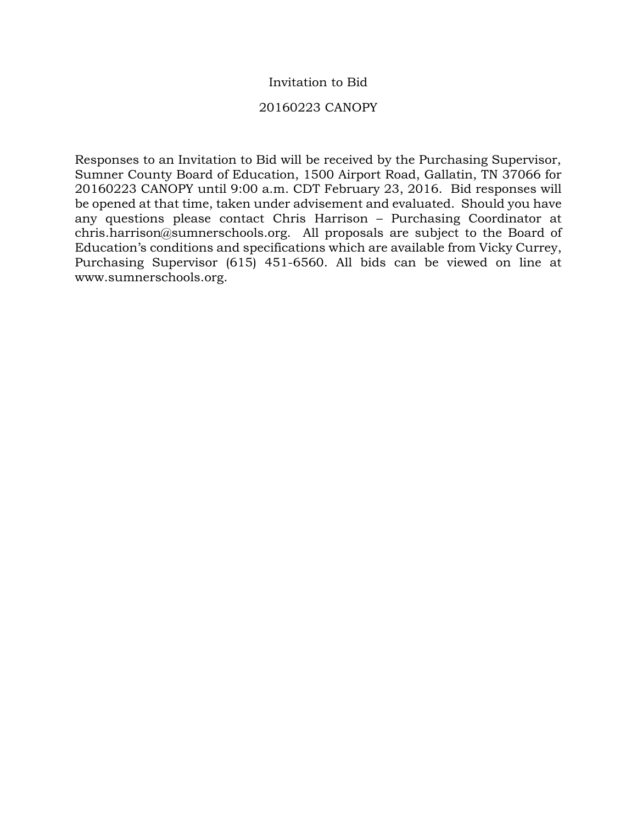# Invitation to Bid

## 20160223 CANOPY

Responses to an Invitation to Bid will be received by the Purchasing Supervisor, Sumner County Board of Education, 1500 Airport Road, Gallatin, TN 37066 for 20160223 CANOPY until 9:00 a.m. CDT February 23, 2016. Bid responses will be opened at that time, taken under advisement and evaluated. Should you have any questions please contact Chris Harrison – Purchasing Coordinator at chris.harrison@sumnerschools.org. All proposals are subject to the Board of Education's conditions and specifications which are available from Vicky Currey, Purchasing Supervisor (615) 451-6560. All bids can be viewed on line at www.sumnerschools.org.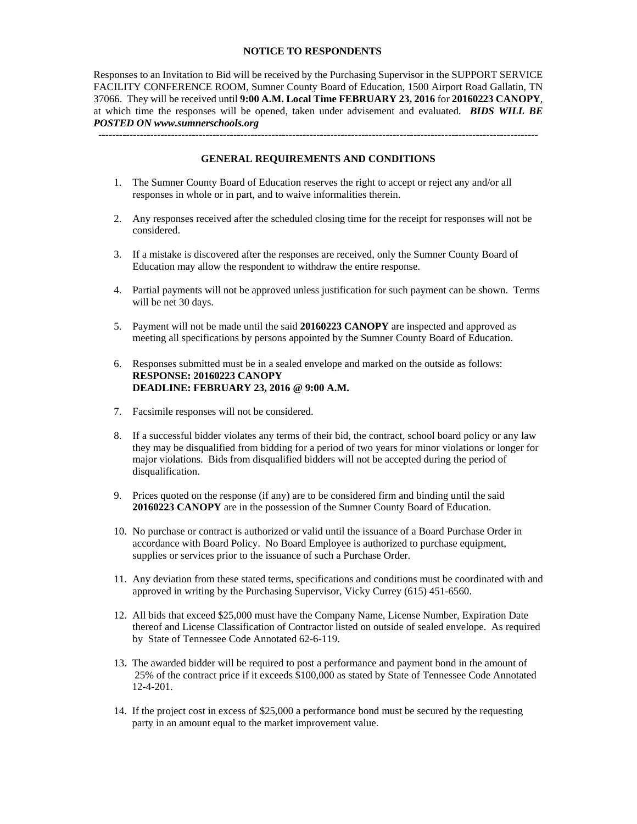### **NOTICE TO RESPONDENTS**

Responses to an Invitation to Bid will be received by the Purchasing Supervisor in the SUPPORT SERVICE FACILITY CONFERENCE ROOM, Sumner County Board of Education, 1500 Airport Road Gallatin, TN 37066. They will be received until **9:00 A.M. Local Time FEBRUARY 23, 2016** for **20160223 CANOPY**, at which time the responses will be opened, taken under advisement and evaluated. *BIDS WILL BE POSTED ON www.sumnerschools.org* 

#### **GENERAL REQUIREMENTS AND CONDITIONS**

-------------------------------------------------------------------------------------------------------------------------------

- 1. The Sumner County Board of Education reserves the right to accept or reject any and/or all responses in whole or in part, and to waive informalities therein.
- 2. Any responses received after the scheduled closing time for the receipt for responses will not be considered.
- 3. If a mistake is discovered after the responses are received, only the Sumner County Board of Education may allow the respondent to withdraw the entire response.
- 4. Partial payments will not be approved unless justification for such payment can be shown. Terms will be net 30 days.
- 5. Payment will not be made until the said **20160223 CANOPY** are inspected and approved as meeting all specifications by persons appointed by the Sumner County Board of Education.
- 6. Responses submitted must be in a sealed envelope and marked on the outside as follows: **RESPONSE: 20160223 CANOPY DEADLINE: FEBRUARY 23, 2016 @ 9:00 A.M.**
- 7. Facsimile responses will not be considered.
- 8. If a successful bidder violates any terms of their bid, the contract, school board policy or any law they may be disqualified from bidding for a period of two years for minor violations or longer for major violations. Bids from disqualified bidders will not be accepted during the period of disqualification.
- 9. Prices quoted on the response (if any) are to be considered firm and binding until the said **20160223 CANOPY** are in the possession of the Sumner County Board of Education.
- 10. No purchase or contract is authorized or valid until the issuance of a Board Purchase Order in accordance with Board Policy. No Board Employee is authorized to purchase equipment, supplies or services prior to the issuance of such a Purchase Order.
- 11. Any deviation from these stated terms, specifications and conditions must be coordinated with and approved in writing by the Purchasing Supervisor, Vicky Currey (615) 451-6560.
- 12. All bids that exceed \$25,000 must have the Company Name, License Number, Expiration Date thereof and License Classification of Contractor listed on outside of sealed envelope. As required by State of Tennessee Code Annotated 62-6-119.
- 13. The awarded bidder will be required to post a performance and payment bond in the amount of 25% of the contract price if it exceeds \$100,000 as stated by State of Tennessee Code Annotated 12-4-201.
- 14. If the project cost in excess of \$25,000 a performance bond must be secured by the requesting party in an amount equal to the market improvement value.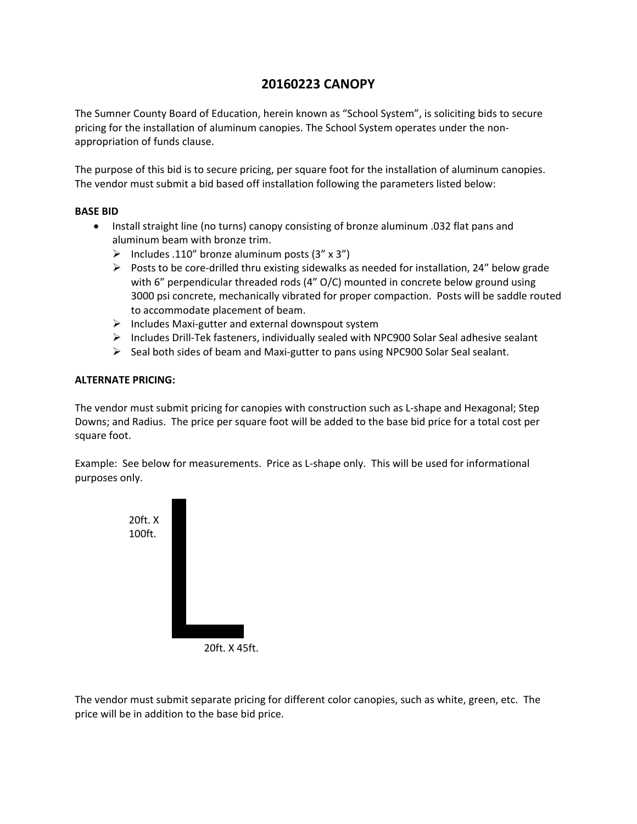# **20160223 CANOPY**

The Sumner County Board of Education, herein known as "School System", is soliciting bids to secure pricing for the installation of aluminum canopies. The School System operates under the non‐ appropriation of funds clause.

The purpose of this bid is to secure pricing, per square foot for the installation of aluminum canopies. The vendor must submit a bid based off installation following the parameters listed below:

### **BASE BID**

- Install straight line (no turns) canopy consisting of bronze aluminum .032 flat pans and aluminum beam with bronze trim.
	- $\triangleright$  Includes .110" bronze aluminum posts (3" x 3")
	- Posts to be core-drilled thru existing sidewalks as needed for installation, 24" below grade with 6" perpendicular threaded rods (4" O/C) mounted in concrete below ground using 3000 psi concrete, mechanically vibrated for proper compaction. Posts will be saddle routed to accommodate placement of beam.
	- Includes Maxi‐gutter and external downspout system
	- Includes Drill‐Tek fasteners, individually sealed with NPC900 Solar Seal adhesive sealant
	- $\triangleright$  Seal both sides of beam and Maxi-gutter to pans using NPC900 Solar Seal sealant.

## **ALTERNATE PRICING:**

The vendor must submit pricing for canopies with construction such as L‐shape and Hexagonal; Step Downs; and Radius. The price per square foot will be added to the base bid price for a total cost per square foot.

Example: See below for measurements. Price as L‐shape only. This will be used for informational purposes only.



20ft. X 45ft.

The vendor must submit separate pricing for different color canopies, such as white, green, etc. The price will be in addition to the base bid price.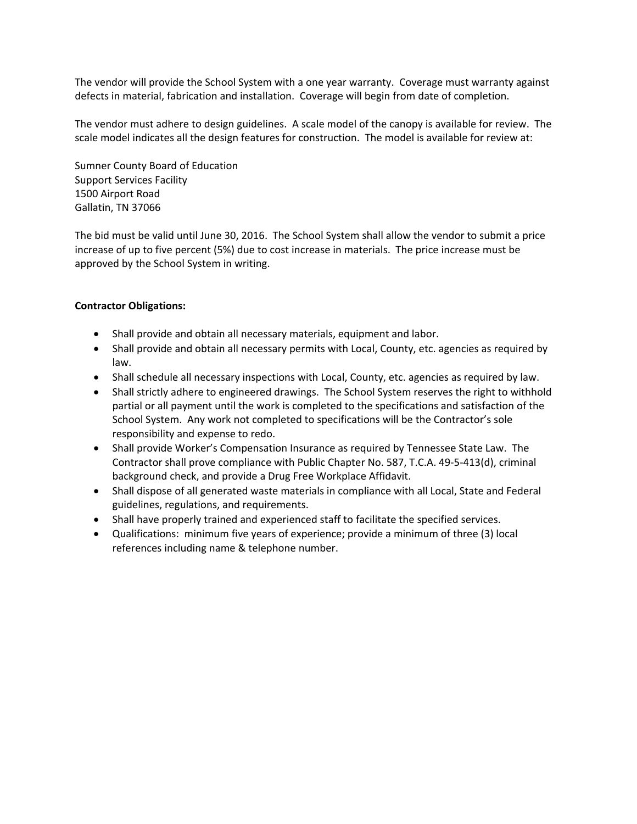The vendor will provide the School System with a one year warranty. Coverage must warranty against defects in material, fabrication and installation. Coverage will begin from date of completion.

The vendor must adhere to design guidelines. A scale model of the canopy is available for review. The scale model indicates all the design features for construction. The model is available for review at:

Sumner County Board of Education Support Services Facility 1500 Airport Road Gallatin, TN 37066

The bid must be valid until June 30, 2016. The School System shall allow the vendor to submit a price increase of up to five percent (5%) due to cost increase in materials. The price increase must be approved by the School System in writing.

## **Contractor Obligations:**

- Shall provide and obtain all necessary materials, equipment and labor.
- Shall provide and obtain all necessary permits with Local, County, etc. agencies as required by law.
- Shall schedule all necessary inspections with Local, County, etc. agencies as required by law.
- Shall strictly adhere to engineered drawings. The School System reserves the right to withhold partial or all payment until the work is completed to the specifications and satisfaction of the School System. Any work not completed to specifications will be the Contractor's sole responsibility and expense to redo.
- Shall provide Worker's Compensation Insurance as required by Tennessee State Law. The Contractor shall prove compliance with Public Chapter No. 587, T.C.A. 49‐5‐413(d), criminal background check, and provide a Drug Free Workplace Affidavit.
- Shall dispose of all generated waste materials in compliance with all Local, State and Federal guidelines, regulations, and requirements.
- Shall have properly trained and experienced staff to facilitate the specified services.
- Qualifications: minimum five years of experience; provide a minimum of three (3) local references including name & telephone number.